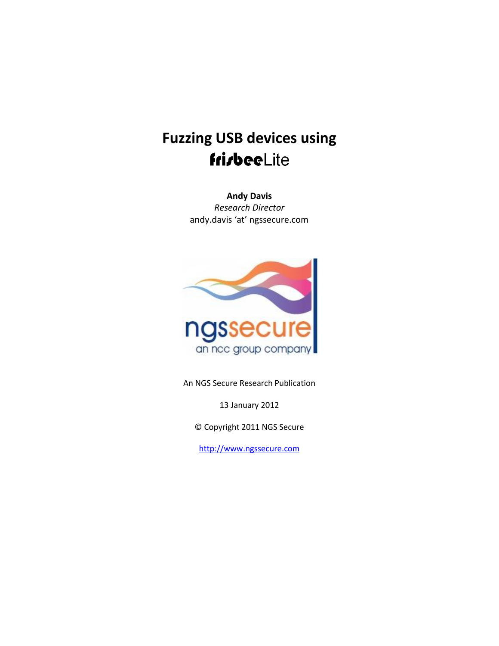**Andy Davis** *Research Director* andy.davis 'at' ngssecure.com



An NGS Secure Research Publication

13 January 2012

© Copyright 2011 NGS Secure

[http://www.ngssecure.com](http://www.ngssecure.com/)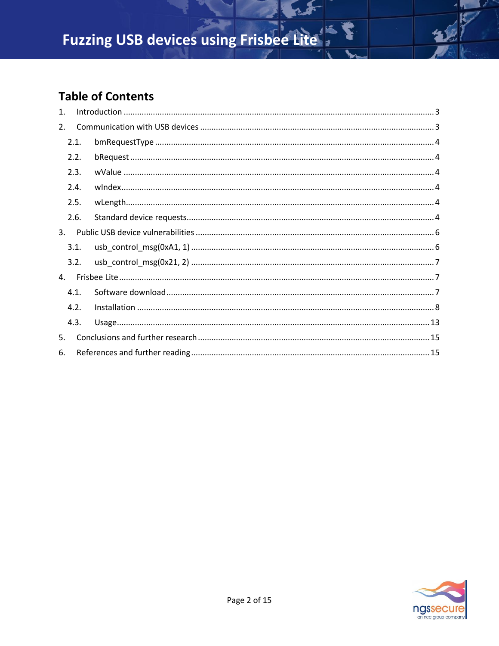### **Table of Contents**

| 1 <sub>1</sub> |      |  |
|----------------|------|--|
| 2.             |      |  |
|                | 2.1. |  |
|                | 2.2. |  |
|                | 2.3. |  |
|                | 2.4. |  |
|                | 2.5. |  |
|                | 2.6. |  |
| 3 <sub>1</sub> |      |  |
|                | 3.1. |  |
|                | 3.2. |  |
| 4.             |      |  |
|                | 4.1. |  |
|                | 4.2. |  |
|                | 4.3. |  |
| 5.             |      |  |
| 6.             |      |  |

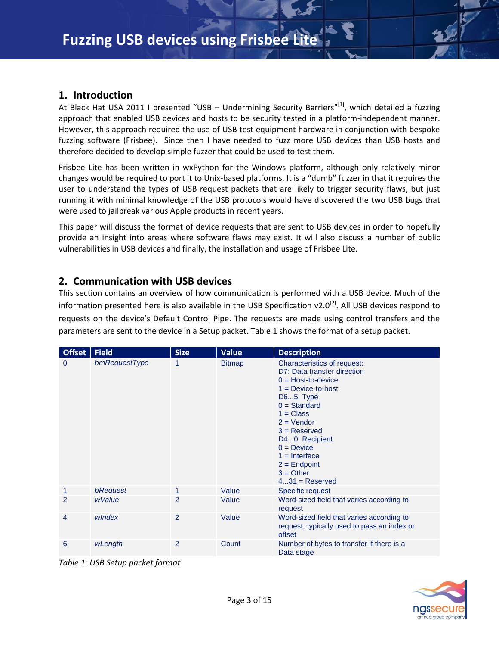#### <span id="page-2-0"></span>**1. Introduction**

At Black Hat USA 2011 I presented "USB - Undermining Security Barriers"<sup>[1]</sup>, which detailed a fuzzing approach that enabled USB devices and hosts to be security tested in a platform-independent manner. However, this approach required the use of USB test equipment hardware in conjunction with bespoke fuzzing software (Frisbee). Since then I have needed to fuzz more USB devices than USB hosts and therefore decided to develop simple fuzzer that could be used to test them.

Frisbee Lite has been written in wxPython for the Windows platform, although only relatively minor changes would be required to port it to Unix-based platforms. It is a "dumb" fuzzer in that it requires the user to understand the types of USB request packets that are likely to trigger security flaws, but just running it with minimal knowledge of the USB protocols would have discovered the two USB bugs that were used to jailbreak various Apple products in recent years.

This paper will discuss the format of device requests that are sent to USB devices in order to hopefully provide an insight into areas where software flaws may exist. It will also discuss a number of public vulnerabilities in USB devices and finally, the installation and usage of Frisbee Lite.

#### <span id="page-2-1"></span>**2. Communication with USB devices**

This section contains an overview of how communication is performed with a USB device. Much of the information presented here is also available in the USB Specification v2.0<sup>[2]</sup>. All USB devices respond to requests on the device's Default Control Pipe. The requests are made using control transfers and the parameters are sent to the device in a Setup packet. Table 1 shows the format of a setup packet.

| Offset   Field |               | <b>Size</b> | <b>Value</b>  | <b>Description</b>                                                                                                                                                                                                                                                                                    |
|----------------|---------------|-------------|---------------|-------------------------------------------------------------------------------------------------------------------------------------------------------------------------------------------------------------------------------------------------------------------------------------------------------|
| $\mathbf{0}$   | bmRequestType | 1           | <b>Bitmap</b> | Characteristics of request:<br>D7: Data transfer direction<br>$0 = Host-to-device$<br>$1 = Device-to-host$<br>D65: Type<br>$0 = Standard$<br>$1 = Class$<br>$2 = V$ endor<br>$3 =$ Reserved<br>D40: Recipient<br>$0 = Device$<br>$1 =$ Interface<br>$2 =$ Endpoint<br>$3 = Other$<br>$431 =$ Reserved |
|                | bRequest      |             | Value         | Specific request                                                                                                                                                                                                                                                                                      |
| 2              | wValue        | 2           | Value         | Word-sized field that varies according to<br>request                                                                                                                                                                                                                                                  |
| 4              | windex        | 2           | Value         | Word-sized field that varies according to<br>request; typically used to pass an index or<br>offset                                                                                                                                                                                                    |
| 6              | wLength       | 2           | Count         | Number of bytes to transfer if there is a<br>Data stage                                                                                                                                                                                                                                               |

*Table 1: USB Setup packet format*

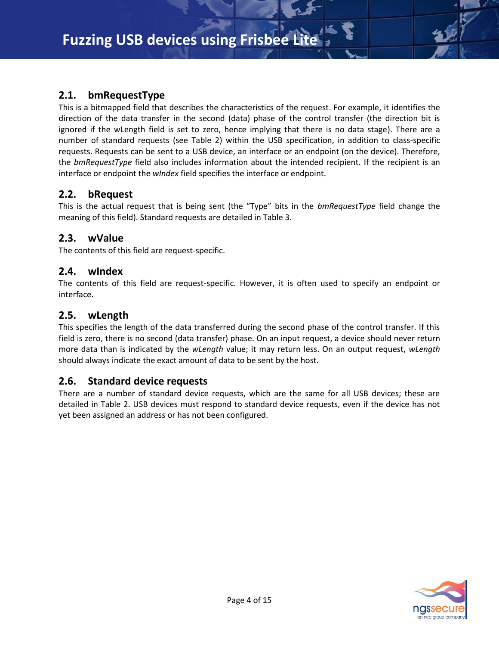#### <span id="page-3-0"></span>**2.1. bmRequestType**

This is a bitmapped field that describes the characteristics of the request. For example, it identifies the direction of the data transfer in the second (data) phase of the control transfer (the direction bit is ignored if the wLength field is set to zero, hence implying that there is no data stage). There are a number of standard requests (see Table 2) within the USB specification, in addition to class-specific requests. Requests can be sent to a USB device, an interface or an endpoint (on the device). Therefore, the *bmRequestType* field also includes information about the intended recipient. If the recipient is an interface or endpoint the *wIndex* field specifies the interface or endpoint.

#### <span id="page-3-1"></span>**2.2. bRequest**

This is the actual request that is being sent (the "Type" bits in the *bmRequestType* field change the meaning of this field). Standard requests are detailed in Table 3.

#### <span id="page-3-2"></span>**2.3. wValue**

The contents of this field are request-specific.

#### <span id="page-3-3"></span>**2.4. wIndex**

The contents of this field are request-specific. However, it is often used to specify an endpoint or interface.

#### <span id="page-3-4"></span>**2.5. wLength**

This specifies the length of the data transferred during the second phase of the control transfer. If this field is zero, there is no second (data transfer) phase. On an input request, a device should never return more data than is indicated by the *wLength* value; it may return less. On an output request, *wLength* should always indicate the exact amount of data to be sent by the host.

#### <span id="page-3-5"></span>**2.6. Standard device requests**

There are a number of standard device requests, which are the same for all USB devices; these are detailed in Table 2. USB devices must respond to standard device requests, even if the device has not yet been assigned an address or has not been configured.

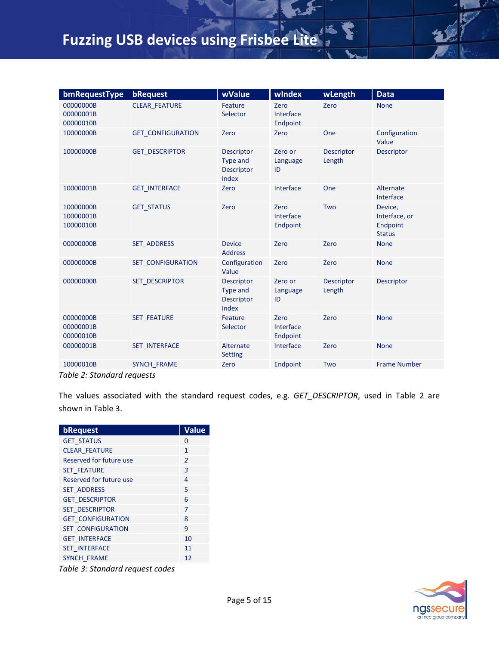| bmRequestType                       | bRequest                 | wValue                                                      | wIndex                        | wLength                     | <b>Data</b>                                           |
|-------------------------------------|--------------------------|-------------------------------------------------------------|-------------------------------|-----------------------------|-------------------------------------------------------|
| 00000000B<br>00000001B<br>00000010B | <b>CLEAR FEATURE</b>     | Feature<br>Selector                                         | Zero<br>Interface<br>Endpoint | Zero                        | <b>None</b>                                           |
| 10000000B                           | <b>GET CONFIGURATION</b> | Zero                                                        | Zero                          | One                         | Configuration<br>Value                                |
| 10000000B                           | <b>GET DESCRIPTOR</b>    | <b>Descriptor</b><br><b>Type and</b><br>Descriptor<br>Index | Zero or<br>Language<br>ID     | <b>Descriptor</b><br>Length | <b>Descriptor</b>                                     |
| 10000001B                           | <b>GET INTERFACE</b>     | Zero                                                        | Interface                     | One                         | Alternate<br>Interface                                |
| 10000000B<br>10000001B<br>10000010B | <b>GET STATUS</b>        | Zero                                                        | Zero<br>Interface<br>Endpoint | Two                         | Device,<br>Interface, or<br>Endpoint<br><b>Status</b> |
| 00000000B                           | <b>SET ADDRESS</b>       | <b>Device</b><br><b>Address</b>                             | Zero                          | Zero                        | <b>None</b>                                           |
| 00000000B                           | <b>SET CONFIGURATION</b> | Configuration<br>Value                                      | Zero                          | Zero                        | <b>None</b>                                           |
| 00000000B                           | <b>SET DESCRIPTOR</b>    | <b>Descriptor</b><br>Type and<br><b>Descriptor</b><br>Index | Zero or<br>Language<br>ID     | <b>Descriptor</b><br>Length | <b>Descriptor</b>                                     |
| 00000000B<br>00000001B<br>00000010B | <b>SET FEATURE</b>       | Feature<br>Selector                                         | Zero<br>Interface<br>Endpoint | Zero                        | <b>None</b>                                           |
| 00000001B                           | <b>SET INTERFACE</b>     | Alternate<br><b>Setting</b>                                 | Interface                     | Zero                        | <b>None</b>                                           |
| 10000010B                           | <b>SYNCH FRAME</b>       | Zero                                                        | Endpoint                      | Two                         | <b>Frame Number</b>                                   |

*Table 2: Standard requests*

The values associated with the standard request codes, e.g. *GET\_DESCRIPTOR*, used in Table 2 are shown in Table 3.

| bRequest                 | Value          |
|--------------------------|----------------|
| <b>GET STATUS</b>        | 0              |
| <b>CLEAR FEATURE</b>     | 1              |
| Reserved for future use  | $\overline{2}$ |
| <b>SET FEATURE</b>       | $\overline{3}$ |
| Reserved for future use  | 4              |
| <b>SET ADDRESS</b>       | 5              |
| <b>GET DESCRIPTOR</b>    | 6              |
| <b>SET DESCRIPTOR</b>    | 7              |
| <b>GET CONFIGURATION</b> | 8              |
| <b>SET CONFIGURATION</b> | 9              |
| <b>GET INTERFACE</b>     | 10             |
| <b>SET INTERFACE</b>     | 11             |
| <b>SYNCH FRAME</b>       | 12             |

*Table 3: Standard request codes*

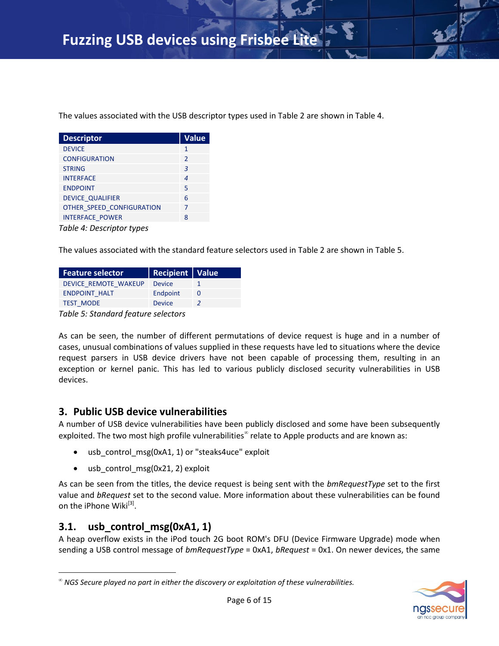The values associated with the USB descriptor types used in Table 2 are shown in Table 4.

| <b>Descriptor</b>         | <b>Value</b>           |  |  |  |
|---------------------------|------------------------|--|--|--|
| <b>DEVICE</b>             | 1                      |  |  |  |
| <b>CONFIGURATION</b>      | $\mathcal{P}$          |  |  |  |
| <b>STRING</b>             | 3                      |  |  |  |
| <b>INTERFACE</b>          | $\boldsymbol{\Lambda}$ |  |  |  |
| <b>ENDPOINT</b>           | 5                      |  |  |  |
| <b>DEVICE QUALIFIER</b>   | 6                      |  |  |  |
| OTHER SPEED CONFIGURATION | 7                      |  |  |  |
| <b>INTERFACE POWER</b>    | 8                      |  |  |  |
| Table 1. Descriptor tupes |                        |  |  |  |

*Table 4: Descriptor types*

The values associated with the standard feature selectors used in Table 2 are shown in Table 5.

| <b>Feature selector</b> | <b>Recipient Value</b> |  |
|-------------------------|------------------------|--|
| DEVICE REMOTE WAKEUP    | <b>Device</b>          |  |
| <b>ENDPOINT HALT</b>    | Endpoint               |  |
| <b>TEST MODE</b>        | <b>Device</b>          |  |
| _ _ _ _                 |                        |  |

*Table 5: Standard feature selectors*

As can be seen, the number of different permutations of device request is huge and in a number of cases, unusual combinations of values supplied in these requests have led to situations where the device request parsers in USB device drivers have not been capable of processing them, resulting in an exception or kernel panic. This has led to various publicly disclosed security vulnerabilities in USB devices.

#### <span id="page-5-0"></span>**3. Public USB device vulnerabilities**

A number of USB device vulnerabilities have been publicly disclosed and some have been subsequently exploited. The two most high profile vulnerabilities<sup> ${}^{\infty}$ </sup> relate to Apple products and are known as:

- usb\_control\_msg(0xA1, 1) or "steaks4uce" exploit
- usb\_control\_msg(0x21, 2) exploit

As can be seen from the titles, the device request is being sent with the *bmRequestType* set to the first value and *bRequest* set to the second value. More information about these vulnerabilities can be found on the iPhone Wiki<sup>[3]</sup>.

#### <span id="page-5-1"></span>**3.1. usb\_control\_msg(0xA1, 1)**

l

A heap overflow exists in the iPod touch 2G boot ROM's DFU (Device Firmware Upgrade) mode when sending a USB control message of *bmRequestType* = 0xA1, *bRequest* = 0x1. On newer devices, the same



 $^\infty$  NGS Secure played no part in either the discovery or exploitation of these vulnerabilities.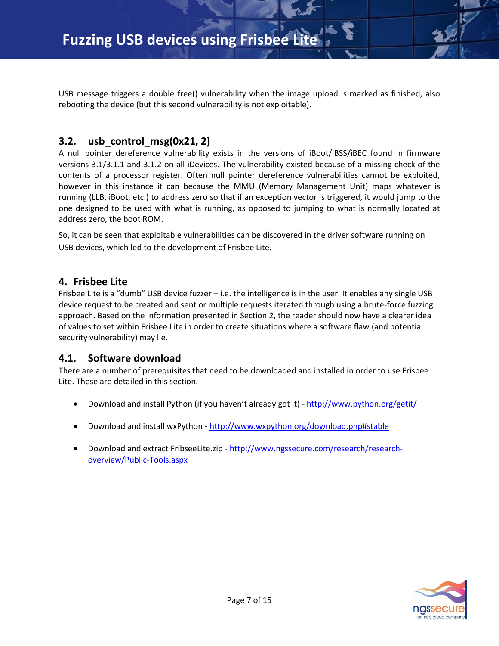USB message triggers a double free() vulnerability when the image upload is marked as finished, also rebooting the device (but this second vulnerability is not exploitable).

#### <span id="page-6-0"></span>**3.2. usb\_control\_msg(0x21, 2)**

A null pointer dereference vulnerability exists in the versions of iBoot/iBSS/iBEC found in firmware versions 3.1/3.1.1 and 3.1.2 on all iDevices. The vulnerability existed because of a missing check of the contents of a processor register. Often null pointer dereference vulnerabilities cannot be exploited, however in this instance it can because the MMU (Memory Management Unit) maps whatever is running (LLB, iBoot, etc.) to address zero so that if an exception vector is triggered, it would jump to the one designed to be used with what is running, as opposed to jumping to what is normally located at address zero, the boot ROM.

So, it can be seen that exploitable vulnerabilities can be discovered in the driver software running on USB devices, which led to the development of Frisbee Lite.

#### <span id="page-6-1"></span>**4. Frisbee Lite**

Frisbee Lite is a "dumb" USB device fuzzer – i.e. the intelligence is in the user. It enables any single USB device request to be created and sent or multiple requests iterated through using a brute-force fuzzing approach. Based on the information presented in Section 2, the reader should now have a clearer idea of values to set within Frisbee Lite in order to create situations where a software flaw (and potential security vulnerability) may lie.

#### <span id="page-6-2"></span>**4.1. Software download**

There are a number of prerequisites that need to be downloaded and installed in order to use Frisbee Lite. These are detailed in this section.

- Download and install Python (if you haven't already got it) <http://www.python.org/getit/>
- Download and install wxPython <http://www.wxpython.org/download.php#stable>
- Download and extract FribseeLite.zip [http://www.ngssecure.com/research/research](http://www.ngssecure.com/research/research-overview/Public-Tools.aspx)[overview/Public-Tools.aspx](http://www.ngssecure.com/research/research-overview/Public-Tools.aspx)

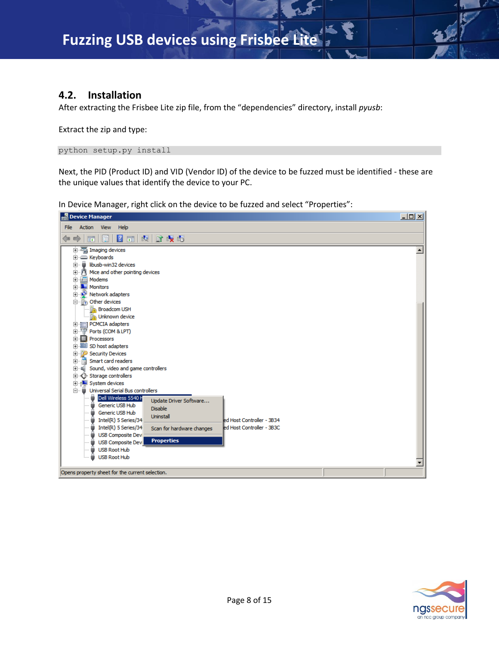#### <span id="page-7-0"></span>**4.2. Installation**

After extracting the Frisbee Lite zip file, from the "dependencies" directory, install *pyusb*:

Extract the zip and type:

python setup.py install

Next, the PID (Product ID) and VID (Vendor ID) of the device to be fuzzed must be identified - these are the unique values that identify the device to your PC.

In Device Manager, right click on the device to be fuzzed and select "Properties":



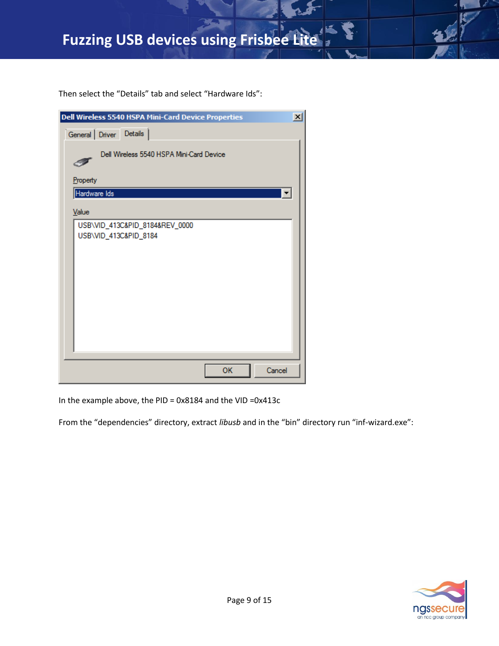Then select the "Details" tab and select "Hardware Ids":

| Dell Wireless 5540 HSPA Mini-Card Device Properties     | $\vert x \vert$ |
|---------------------------------------------------------|-----------------|
| General Driver Details                                  |                 |
| Dell Wireless 5540 HSPA Mini-Card Device                |                 |
| Property                                                |                 |
| Hardware Ids                                            | E               |
| Value                                                   |                 |
| USB\VID_413C&PID_8184&REV_0000<br>USB\VID_413C&PID_8184 |                 |
| OK<br>Cancel                                            |                 |

In the example above, the PID = 0x8184 and the VID =0x413c

From the "dependencies" directory, extract *libusb* and in the "bin" directory run "inf-wizard.exe":

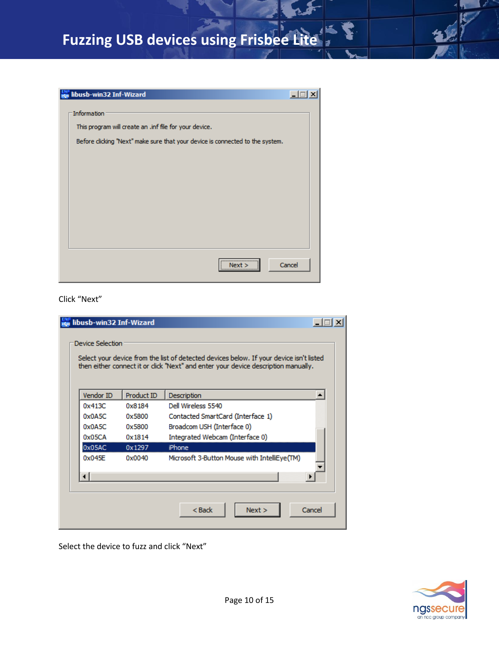| libusb-win32 Inf-Wizard                                                      |        |
|------------------------------------------------------------------------------|--------|
| Information                                                                  |        |
|                                                                              |        |
| This program will create an .inf file for your device.                       |        |
| Before dicking "Next" make sure that your device is connected to the system. |        |
|                                                                              |        |
|                                                                              |        |
|                                                                              |        |
|                                                                              |        |
|                                                                              |        |
|                                                                              |        |
|                                                                              |        |
|                                                                              |        |
|                                                                              |        |
|                                                                              |        |
| Nex<br>                                                                      | Cancel |
|                                                                              |        |

Click "Next"

|           |            | then either connect it or click "Next" and enter your device description manually. |
|-----------|------------|------------------------------------------------------------------------------------|
| Vendor ID | Product ID | Description<br>$\blacktriangle$                                                    |
| 0x413C    | 0x8184     | Dell Wireless 5540                                                                 |
| 0x0A5C    | 0x5800     | Contacted SmartCard (Interface 1)                                                  |
| 0x0A5C    | 0x5800     | Broadcom USH (Interface 0)                                                         |
| 0x05CA    | 0x1814     | Integrated Webcam (Interface 0)                                                    |
| 0x05AC    | 0x1297     | iPhone                                                                             |
| 0x045F    | 0x0040     | Microsoft 3-Button Mouse with IntelliEye(TM)                                       |
|           |            |                                                                                    |

Select the device to fuzz and click "Next"

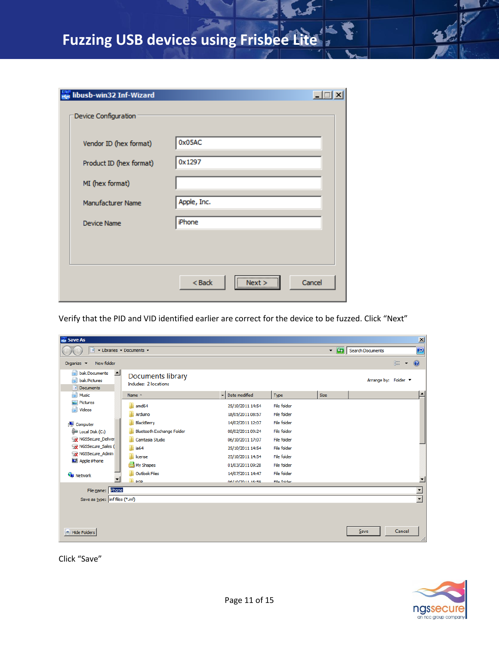| libusb-win32 Inf-Wizard  |                                   |
|--------------------------|-----------------------------------|
| Device Configuration     |                                   |
| Vendor ID (hex format)   | 0x05AC                            |
| Product ID (hex format)  | 0x1297                            |
| MI (hex format)          |                                   |
| <b>Manufacturer Name</b> | Apple, Inc.                       |
| <b>Device Name</b>       | iPhone                            |
|                          |                                   |
|                          |                                   |
|                          | $<$ Back<br>Cancel<br>Next ><br>; |

Verify that the PID and VID identified earlier are correct for the device to be fuzzed. Click "Next"

| <b>ENF</b> Save As                                                   |                                                   |                  |             |       |                      | $\mathbf{x}$                   |
|----------------------------------------------------------------------|---------------------------------------------------|------------------|-------------|-------|----------------------|--------------------------------|
| 湖                                                                    | - Libraries - Documents -                         |                  |             | $-12$ | Search Documents     | $ \mathcal{Q} $                |
| New folder<br>Organize $\blacktriangledown$                          |                                                   |                  |             |       |                      | 0<br>脏<br>$\blacktriangledown$ |
| $\blacktriangle$<br>۵ì<br>bak.Documents<br>bak.Pictures<br>Documents | <b>Documents library</b><br>Includes: 2 locations |                  |             |       | Arrange by: Folder ▼ |                                |
| <b>Music</b>                                                         | Name $\hat{=}$                                    | Date modified    | Type        | Size  |                      | $\blacktriangle$               |
| Pictures<br><b>Nideos</b>                                            | amd64                                             | 25/10/2011 14:54 | File folder |       |                      |                                |
|                                                                      | Arduino                                           | 18/05/2011 08:57 | File folder |       |                      |                                |
| Computer                                                             | BlackBerry                                        | 14/02/2011 12:07 | File folder |       |                      |                                |
| Local Disk (C:)                                                      | <b>Bluetooth Exchange Folder</b>                  | 08/02/2011 09:24 | File folder |       |                      |                                |
| NGSSecure Deliver                                                    | Camtasia Studio                                   | 06/10/2011 17:07 | File folder |       |                      |                                |
| NGSSecure Sales (                                                    | ia64                                              | 25/10/2011 14:54 | File folder |       |                      |                                |
| NGSSecure_Admin                                                      | license                                           | 25/10/2011 14:54 | File folder |       |                      |                                |
| Apple iPhone                                                         | My Shapes                                         | 01/03/2011 09:28 | File folder |       |                      |                                |
| <b>Civil</b> Network                                                 | <b>Outlook Files</b>                              | 14/07/2011 14:47 | File folder |       |                      |                                |
| $\overline{\phantom{a}}$                                             | <b>DCD</b>                                        | 06/10/2011 16:50 | File folder |       |                      |                                |
| File name: Phone                                                     |                                                   |                  |             |       |                      | $\overline{\phantom{a}}$       |
| Save as type: $\frac{1}{2}$ inf files (*.inf)                        |                                                   |                  |             |       |                      | $\overline{\phantom{a}}$       |
|                                                                      |                                                   |                  |             |       |                      |                                |
|                                                                      |                                                   |                  |             |       |                      |                                |
|                                                                      |                                                   |                  |             |       |                      |                                |
| <b>Hide Folders</b><br>▲                                             |                                                   |                  |             |       | Save                 | Cancel                         |

Click "Save"

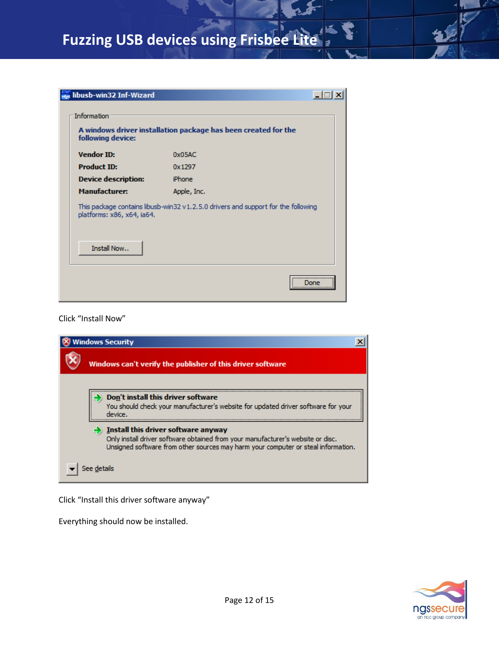| libusb-win32 Inf-Wizard    |                                                                                   |
|----------------------------|-----------------------------------------------------------------------------------|
| Information                |                                                                                   |
| following device:          | A windows driver installation package has been created for the                    |
| <b>Vendor ID:</b>          | 0x05AC                                                                            |
| <b>Product ID:</b>         | 0x1297                                                                            |
| <b>Device description:</b> | iPhone                                                                            |
| <b>Manufacturer:</b>       | Apple, Inc.                                                                       |
| platforms: x86, x64, ia64. | This package contains libusb-win32 v1.2.5.0 drivers and support for the following |
| Install Now                |                                                                                   |
|                            | <br>ne<br>                                                                        |

#### Click "Install Now"

| <b>Nindows Security</b>                                                                                                                                                                                     |
|-------------------------------------------------------------------------------------------------------------------------------------------------------------------------------------------------------------|
| Windows can't verify the publisher of this driver software                                                                                                                                                  |
| Don't install this driver software<br>You should check your manufacturer's website for updated driver software for your<br>device.                                                                          |
| Install this driver software anyway<br>Only install driver software obtained from your manufacturer's website or disc.<br>Unsigned software from other sources may harm your computer or steal information. |
|                                                                                                                                                                                                             |

Click "Install this driver software anyway"

Everything should now be installed.

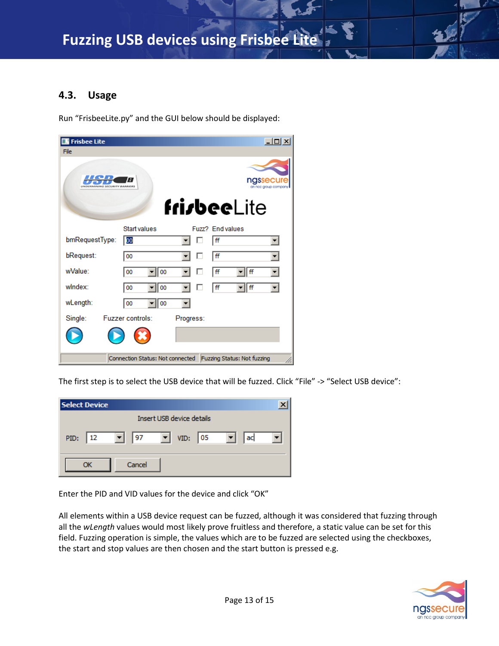#### <span id="page-12-0"></span>**4.3. Usage**

Run "FrisbeeLite.py" and the GUI below should be displayed:

| <b>Frisbee Lite</b>           |                                                              |             |                  |         | $\Box$ $\Box$ $\times$ |  |  |  |
|-------------------------------|--------------------------------------------------------------|-------------|------------------|---------|------------------------|--|--|--|
| File                          |                                                              |             |                  |         |                        |  |  |  |
| UNDERMINING SECURITY BARRIERS | A                                                            |             |                  | nassecu | an noc group compan    |  |  |  |
|                               |                                                              | frisbeeLite |                  |         |                        |  |  |  |
|                               | Start values                                                 |             | Fuzz? End values |         |                        |  |  |  |
| bmRequestType:                | OO                                                           |             | ١ff              |         | ▼∣                     |  |  |  |
| bRequest:                     | 00                                                           |             | ff               |         |                        |  |  |  |
| wValue:                       | 00<br>00                                                     |             | ff               | ff      |                        |  |  |  |
| windex:                       | 00<br>00                                                     |             | ١ff              | ff      |                        |  |  |  |
| wLength:                      | 00<br>00                                                     |             |                  |         |                        |  |  |  |
| Single:                       | <b>Fuzzer controls:</b>                                      | Progress:   |                  |         |                        |  |  |  |
|                               |                                                              |             |                  |         |                        |  |  |  |
|                               | Connection Status: Not connected Fuzzing Status: Not fuzzing |             |                  |         |                        |  |  |  |

The first step is to select the USB device that will be fuzzed. Click "File" -> "Select USB device":

| <b>Select Device</b>                                        |    |
|-------------------------------------------------------------|----|
| Insert USB device details                                   |    |
| ▾╎<br>VID: $ 05$<br>$\mathbf{v}$   97<br>  12<br>PID:<br>▾▮ | ac |
| Cancel                                                      |    |

Enter the PID and VID values for the device and click "OK"

All elements within a USB device request can be fuzzed, although it was considered that fuzzing through all the *wLength* values would most likely prove fruitless and therefore, a static value can be set for this field. Fuzzing operation is simple, the values which are to be fuzzed are selected using the checkboxes, the start and stop values are then chosen and the start button is pressed e.g.

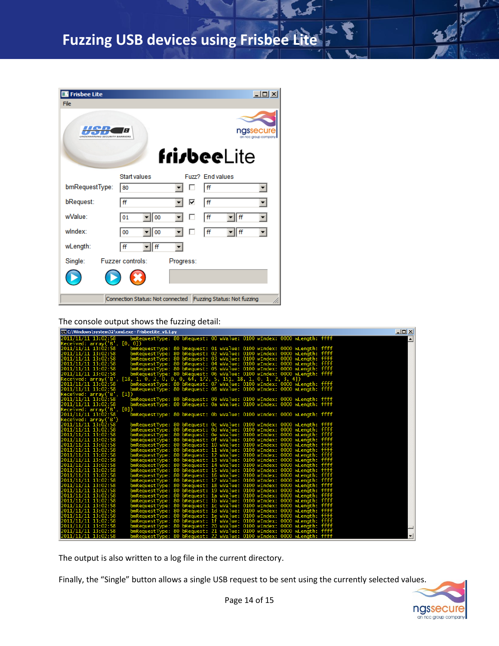| <b>Frisbee Lite</b>                                          | $\Box$ $\Box$ $\times$  |           |                  |                                  |  |  |  |
|--------------------------------------------------------------|-------------------------|-----------|------------------|----------------------------------|--|--|--|
| File                                                         |                         |           |                  |                                  |  |  |  |
| UNDERMINING SECURITY BARRIERS                                | A                       |           |                  | ngssecur<br>an nec group company |  |  |  |
|                                                              |                         |           | frisbeeLite      |                                  |  |  |  |
|                                                              | Start values            |           | Fuzz? End values |                                  |  |  |  |
| bmRequestType:                                               | 80                      |           | ff               | ▼∣                               |  |  |  |
| bRequest:                                                    | ff                      | ⊽         | ff               | ▼                                |  |  |  |
| wValue:                                                      | 01<br>00                |           | ff<br>ff         |                                  |  |  |  |
| windex <sup>-</sup>                                          | 00<br>00                |           | ff<br>ff         |                                  |  |  |  |
| wLength:                                                     | ff<br>ff                |           |                  |                                  |  |  |  |
| Single:                                                      | <b>Fuzzer controls:</b> | Progress: |                  |                                  |  |  |  |
|                                                              |                         |           |                  |                                  |  |  |  |
| Connection Status: Not connected Fuzzing Status: Not fuzzing |                         |           |                  |                                  |  |  |  |

The console output shows the fuzzing detail:

| C:\Windows\system32\cmd.exe - FrisbeeLite_v1.1.py                                                                                                                                                                                                 | $\Box$ $\Box$ $\times$ |
|---------------------------------------------------------------------------------------------------------------------------------------------------------------------------------------------------------------------------------------------------|------------------------|
| bmRequestType: 80 bRequest: 00 wValue: 0100 wIndex: 0000 wLength: ffff<br>2011/11/11 13:02:58                                                                                                                                                     | $\blacktriangle$       |
| Received: array('B', [0, 0])                                                                                                                                                                                                                      |                        |
| bmRequestType: 80 bRequest: 01 wValue: 0100 wIndex: 0000 wLength: ffff<br>2011/11/11 13:02:58                                                                                                                                                     |                        |
| 2011/11/11 13:02:58<br>bmRequestType: 80 bRequest: 02 wValue: 0100 wIndex: 0000 wLength: ffff                                                                                                                                                     |                        |
| 2011/11/11 13:02:58                                                                                                                                                                                                                               |                        |
| bmRequestType: 80 bRequest: 03 wvalue: 0100 wIndex: 0000 wLength: ffff<br>bmRequestType: 80 bRequest: 04 wvalue: 0100 wIndex: 0000 wLength: ffff<br>bmRequestType: 80 bRequest: 05 wvalue: 0100 wIndex: 0000 wLength: ffff<br>2011/11/11 13:02:58 |                        |
| 2011/11/11 13:02:58                                                                                                                                                                                                                               |                        |
| 2011/11/11 13:02:58<br>bmRequestType: 80 bRequest: 06 wValue: 0100 wIndex: 0000 wLength: ffff                                                                                                                                                     |                        |
| $[18, 1, 0, 2, 0, 0, 0, 64, 172, 5, 151, 18, 1, 0, 1, 2, 3, 4]$<br>Received: array('B',                                                                                                                                                           |                        |
| bmRéquéstTypé: 80 bRequest: 07 wValue: 0100 wIndéx: 0000 wLength: ffff<br>bmRequestType: 80 bRequest: 08 wValue: 0100 wIndex: 0000 wLength: ffff<br>2011/11/11 13:02:58                                                                           |                        |
| 2011/11/11 13:02:58                                                                                                                                                                                                                               |                        |
| Received: array('B', [1])                                                                                                                                                                                                                         |                        |
| 2011/11/11 13:02:58<br>bmRequestType: 80 bRequest: 09 wValue: 0100 wIndex: 0000 wLength: ffff                                                                                                                                                     |                        |
| 2011/11/11 13:02:58<br>bmRequestType: 80 bRequest: 0a wValue: 0100 wIndex: 0000 wLength: ffff                                                                                                                                                     |                        |
| Received: array('B', [O])                                                                                                                                                                                                                         |                        |
| 2011/11/11 13:02:58<br>bmRequestType: 80 bRequest: 0b wValue: 0100 wIndex: 0000 wLength: ffff<br>Received: array('B')                                                                                                                             |                        |
| 2011/11/11 13:02:58<br>bmRequestType: 80 bRequest: 0c wValue: 0100 wIndex: 0000 wLength: ffff                                                                                                                                                     |                        |
| 2011/11/11 13:02:58                                                                                                                                                                                                                               |                        |
| bmRequestType: 80 bRequest: Od wValue: 0100 wIndex: 0000 wLength: ffff<br>2011/11/11 13:02:58                                                                                                                                                     |                        |
| bmRequestType: 80 bRequest: 0e wvalue: 0100 wIndex: 0000 wLength: ffff<br>bmRequestType: 80 bRequest: 0f wvalue: 0100 wIndex: 0000 wLength: ffff<br>bmRequestType: 80 bRequest: 10 wvalue: 0100 wIndex: 0000 wLength: ffff<br>2011/11/11 13:02:58 |                        |
| 2011/11/11 13:02:58                                                                                                                                                                                                                               |                        |
| 2011/11/11 13:02:58<br>bmRequestType: 80 bRequest: 11 wValue: 0100 wIndex: 0000 wLength: ffff                                                                                                                                                     |                        |
| 2011/11/11 13:02:58<br>bmRequestType: 80 bRequest: 12 wValue: 0100 wIndex: 0000 wLength: ffff                                                                                                                                                     |                        |
| 2011/11/11 13:02:58                                                                                                                                                                                                                               |                        |
| 2011/11/11 13:02:58                                                                                                                                                                                                                               |                        |
| bmRequestType: 80 bRequest: 13 wvalue: 0100 wIndex: 0000 wLength: ffff<br>bmRequestType: 80 bRequest: 14 wvalue: 0100 wIndex: 0000 wLength: ffff<br>bmRequestType: 80 bRequest: 15 wvalue: 0100 wIndex: 0000 wLength: ffff<br>2011/11/11 13:02:58 |                        |
| 2011/11/11 13:02:58<br>bmRequestType: 80 bRequest: 16 wValue: 0100 wIndex: 0000 wLength: ffff                                                                                                                                                     |                        |
| bmRequestType: 80 bRequest: 17 wValue: 0100 wIndex: 0000 wLength: ffff<br>2011/11/11 13:02:58                                                                                                                                                     |                        |
| 2011/11/11 13:02:58<br>bmRequestType: 80 bRequest: 18 wValue: 0100 wIndex: 0000 wLength: ffff<br>bmRequestType: 80 bRequest: 19 wValue: 0100 wIndex: 0000 wLength: ffff<br>bmRequestType: 80 bRequest: 1a wValue: 0100 wIndex: 0000 wLength: ffff |                        |
| 2011/11/11 13:02:58                                                                                                                                                                                                                               |                        |
| 2011/11/11 13:02:58                                                                                                                                                                                                                               |                        |
| 2011/11/11 13:02:58<br>bmRequestType: 80 bRequest: 1b wValue: 0100 wIndex: 0000 wLength: ffff                                                                                                                                                     |                        |
| 2011/11/11 13:02:58<br>bmRequestType: 80 bRequest: 1c wValue: 0100 wIndex: 0000 wLength: ffff                                                                                                                                                     |                        |
| 2011/11/11 13:02:58                                                                                                                                                                                                                               |                        |
| 2011/11/11 13:02:58                                                                                                                                                                                                                               |                        |
| bmRequestTýpe: 80 bRequest: 1d wValue: 0100 wIndex: 0000 wLength: ffff<br>bmRequestType: 80 bRequest: 1e wValue: 0100 wIndex: 0000 wLength: ffff<br>bmRequestType: 80 bRequest: 1f wValue: 0100 wIndex: 0000 wLength: ffff<br>2011/11/11 13:02:58 |                        |
| bmRequestType: 80 bRequest: 20 wValue: 0100 wIndex: 0000 wLength: ffff<br>2011/11/11 13:02:58                                                                                                                                                     |                        |
| 2011/11/11 13:02:58<br>bmRequestType: 80 bRequest: 21 wValue: 0100 wIndex: 0000 wLength: ffff                                                                                                                                                     |                        |
| 2011/11/11 13:02:58<br>bmRequestType: 80 bRequest: 22 wValue: 0100 wIndex: 0000 wLength: ffff                                                                                                                                                     | $\mathbf{H}$           |

The output is also written to a log file in the current directory.

Finally, the "Single" button allows a single USB request to be sent using the currently selected values.